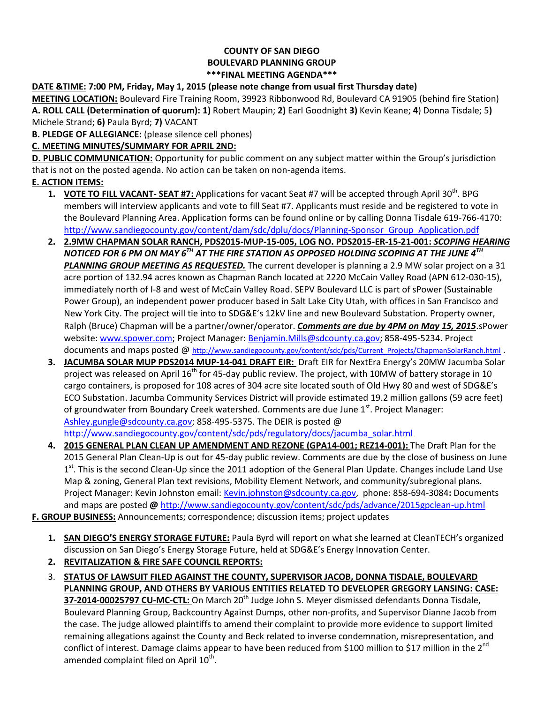## **COUNTY OF SAN DIEGO BOULEVARD PLANNING GROUP \*\*\*FINAL MEETING AGENDA\*\*\***

## **DATE &TIME: 7:00 PM, Friday, May 1, 2015 (please note change from usual first Thursday date)**

**MEETING LOCATION:** Boulevard Fire Training Room, 39923 Ribbonwood Rd, Boulevard CA 91905 (behind fire Station) **A. ROLL CALL (Determination of quorum): 1)** Robert Maupin; **2)** Earl Goodnight **3)** Kevin Keane; **4**) Donna Tisdale; 5**)**  Michele Strand; **6)** Paula Byrd; **7)** VACANT

**B. PLEDGE OF ALLEGIANCE:** (please silence cell phones)

## **C. MEETING MINUTES/SUMMARY FOR APRIL 2ND:**

**D. PUBLIC COMMUNICATION:** Opportunity for public comment on any subject matter within the Group's jurisdiction that is not on the posted agenda. No action can be taken on non-agenda items.

### **E. ACTION ITEMS:**

- 1. VOTE TO FILL VACANT-SEAT #7: Applications for vacant Seat #7 will be accepted through April 30<sup>th</sup>. BPG members will interview applicants and vote to fill Seat #7. Applicants must reside and be registered to vote in the Boulevard Planning Area. Application forms can be found online or by calling Donna Tisdale 619-766-4170: [http://www.sandiegocounty.gov/content/dam/sdc/dplu/docs/Planning-Sponsor\\_Group\\_Application.pdf](http://www.sandiegocounty.gov/content/dam/sdc/dplu/docs/Planning-Sponsor_Group_Application.pdf)
- **2. 2.9MW CHAPMAN SOLAR RANCH, PDS2015-MUP-15-005, LOG NO. PDS2015-ER-15-21-001:** *SCOPING HEARING NOTICED FOR 6 PM ON MAY 6TH AT THE FIRE STATION AS OPPOSED HOLDING SCOPING AT THE JUNE 4TH PLANNING GROUP MEETING AS REQUESTED.* The current developer is planning a 2.9 MW solar project on a 31 acre portion of 132.94 acres known as Chapman Ranch located at 2220 McCain Valley Road (APN 612-030-15), immediately north of I-8 and west of McCain Valley Road. SEPV Boulevard LLC is part of sPower (Sustainable Power Group), an independent power producer based in Salt Lake City Utah, with offices in San Francisco and New York City. The project will tie into to SDG&E's 12kV line and new Boulevard Substation. Property owner, Ralph (Bruce) Chapman will be a partner/owner/operator. *Comments are due by 4PM on May 15, 2015*.sPower website[: www.spower.com;](http://www.spower.com/) Project Manager: [Benjamin.Mills@sdcounty.ca.gov;](mailto:Benjamin.Mills@sdcounty.ca.gov) [858-495-5234.](tel:%28858%29%20495-5234) Project documents and maps posted @ [http://www.sandiegocounty.gov/content/sdc/pds/Current\\_Projects/ChapmanSolarRanch.html](http://www.sandiegocounty.gov/content/sdc/pds/Current_Projects/ChapmanSolarRanch.html) .
- **3. JACUMBA SOLAR MUP PDS2014 MUP-14-041 DRAFT EIR:** Draft EIR for NextEra Energy's 20MW Jacumba Solar project was released on April 16<sup>th</sup> for 45-day public review. The project, with 10MW of battery storage in 10 cargo containers, is proposed for 108 acres of 304 acre site located south of Old Hwy 80 and west of SDG&E's ECO Substation. Jacumba Community Services District will provide estimated 19.2 million gallons (59 acre feet) of groundwater from Boundary Creek watershed. Comments are due June 1<sup>st</sup>. Project Manager: [Ashley.gungle@sdcounty.ca.gov;](mailto:Ashley.gungle@sdcounty.ca.gov) [858-495-5375.](tel:858.495.5375) The DEIR is posted @

[http://www.sandiegocounty.gov/content/sdc/pds/regulatory/docs/jacumba\\_solar.html](http://www.sandiegocounty.gov/content/sdc/pds/regulatory/docs/jacumba_solar.html)

**4. 2015 GENERAL PLAN CLEAN UP AMENDMENT AND REZONE (GPA14-001; REZ14-001):** The Draft Plan for the 2015 General Plan Clean-Up is out for 45-day public review. Comments are due by the close of business on June 1<sup>st</sup>. This is the second Clean-Up since the 2011 adoption of the General Plan Update. Changes include Land Use Map & zoning, General Plan text revisions, Mobility Element Network, and community/subregional plans. Project Manager: Kevin Johnston email: [Kevin.johnston@sdcounty.ca.gov,](mailto:Kevin.johnston@sdcounty.ca.gov) phone: 858-694-3084**:** Documents and maps are posted **@** <http://www.sandiegocounty.gov/content/sdc/pds/advance/2015gpclean-up.html>

# **F. GROUP BUSINESS:** Announcements; correspondence; discussion items; project updates

- **1. SAN DIEGO'S ENERGY STORAGE FUTURE:** Paula Byrd will report on what she learned at CleanTECH's organized discussion on San Diego's Energy Storage Future, held at SDG&E's Energy Innovation Center.
- **2. REVITALIZATION & FIRE SAFE COUNCIL REPORTS:**
- 3. **STATUS OF LAWSUIT FILED AGAINST THE COUNTY, SUPERVISOR JACOB, DONNA TISDALE, BOULEVARD PLANNING GROUP, AND OTHERS BY VARIOUS ENTITIES RELATED TO DEVELOPER GREGORY LANSING: CASE:**  37-2014-00025797 CU-MC-CTL: On March 20<sup>th</sup> Judge John S. Meyer dismissed defendants Donna Tisdale, Boulevard Planning Group, Backcountry Against Dumps, other non-profits, and Supervisor Dianne Jacob from the case. The judge allowed plaintiffs to amend their complaint to provide more evidence to support limited remaining allegations against the County and Beck related to inverse condemnation, misrepresentation, and conflict of interest. Damage claims appear to have been reduced from \$100 million to \$17 million in the 2<sup>nd</sup> amended complaint filed on April  $10^{\text{th}}$ .